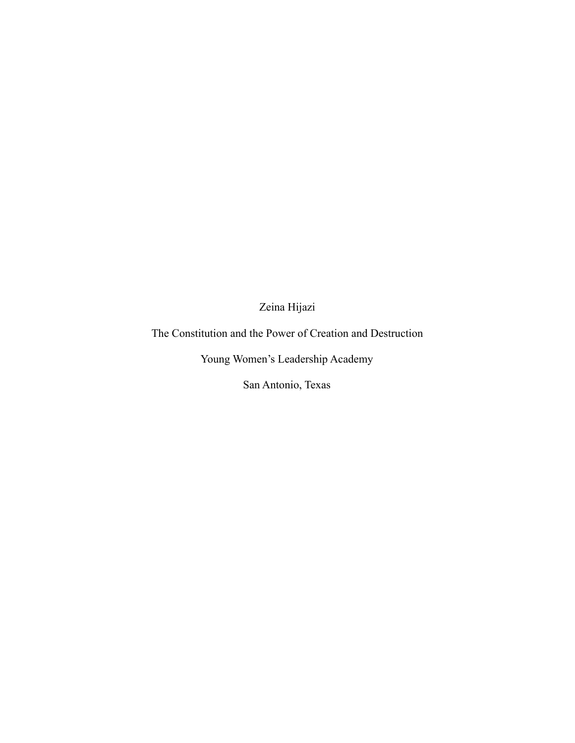Zeina Hijazi

The Constitution and the Power of Creation and Destruction

Young Women's Leadership Academy

San Antonio, Texas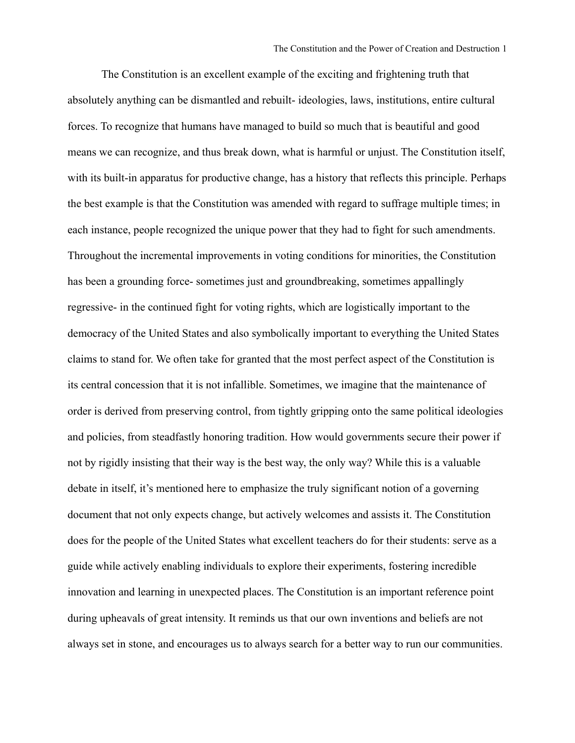The Constitution is an excellent example of the exciting and frightening truth that absolutely anything can be dismantled and rebuilt- ideologies, laws, institutions, entire cultural forces. To recognize that humans have managed to build so much that is beautiful and good means we can recognize, and thus break down, what is harmful or unjust. The Constitution itself, with its built-in apparatus for productive change, has a history that reflects this principle. Perhaps the best example is that the Constitution was amended with regard to suffrage multiple times; in each instance, people recognized the unique power that they had to fight for such amendments. Throughout the incremental improvements in voting conditions for minorities, the Constitution has been a grounding force- sometimes just and groundbreaking, sometimes appallingly regressive- in the continued fight for voting rights, which are logistically important to the democracy of the United States and also symbolically important to everything the United States claims to stand for. We often take for granted that the most perfect aspect of the Constitution is its central concession that it is not infallible. Sometimes, we imagine that the maintenance of order is derived from preserving control, from tightly gripping onto the same political ideologies and policies, from steadfastly honoring tradition. How would governments secure their power if not by rigidly insisting that their way is the best way, the only way? While this is a valuable debate in itself, it's mentioned here to emphasize the truly significant notion of a governing document that not only expects change, but actively welcomes and assists it. The Constitution does for the people of the United States what excellent teachers do for their students: serve as a guide while actively enabling individuals to explore their experiments, fostering incredible innovation and learning in unexpected places. The Constitution is an important reference point during upheavals of great intensity. It reminds us that our own inventions and beliefs are not always set in stone, and encourages us to always search for a better way to run our communities.